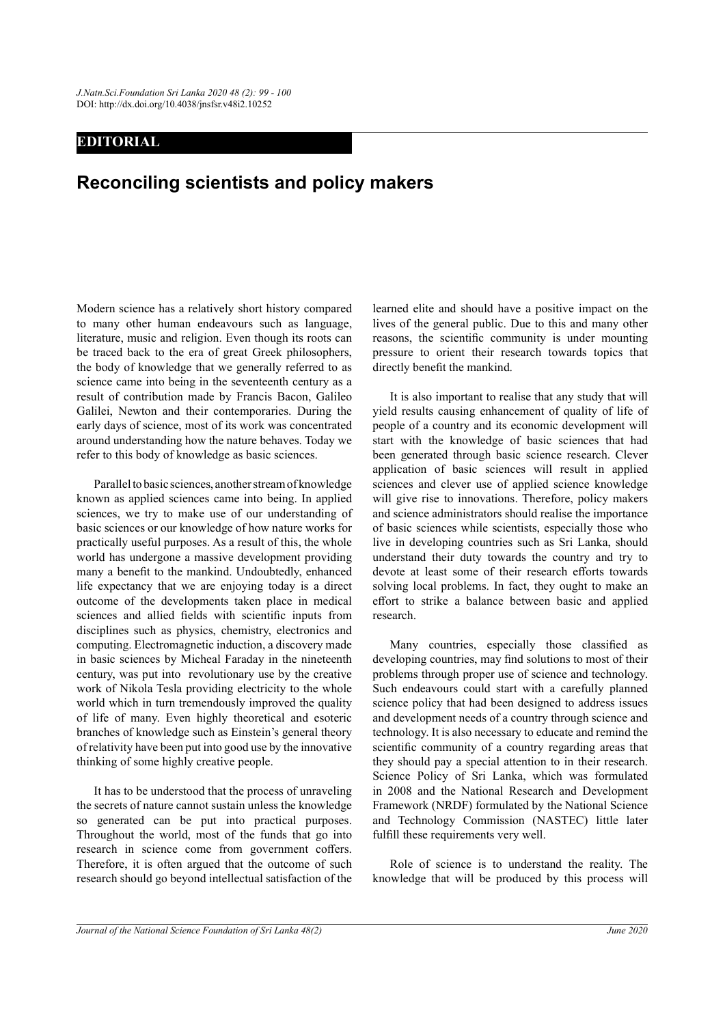## EDITORIAL

## Reconciling scientists and policy makers

Modern science has a relatively short history compared to many other human endeavours such as language, literature, music and religion. Even though its roots can be traced back to the era of great Greek philosophers, the body of knowledge that we generally referred to as science came into being in the seventeenth century as a result of contribution made by Francis Bacon, Galileo Galilei, Newton and their contemporaries. During the early days of science, most of its work was concentrated around understanding how the nature behaves. Today we refer to this body of knowledge as basic sciences.

 Parallel to basic sciences, another stream of knowledge known as applied sciences came into being. In applied sciences, we try to make use of our understanding of basic sciences or our knowledge of how nature works for practically useful purposes. As a result of this, the whole world has undergone a massive development providing many a benefit to the mankind. Undoubtedly, enhanced life expectancy that we are enjoying today is a direct outcome of the developments taken place in medical sciences and allied fields with scientific inputs from disciplines such as physics, chemistry, electronics and computing. Electromagnetic induction, a discovery made in basic sciences by Micheal Faraday in the nineteenth century, was put into revolutionary use by the creative work of Nikola Tesla providing electricity to the whole world which in turn tremendously improved the quality of life of many. Even highly theoretical and esoteric branches of knowledge such as Einstein's general theory of relativity have been put into good use by the innovative thinking of some highly creative people.

 It has to be understood that the process of unraveling the secrets of nature cannot sustain unless the knowledge so generated can be put into practical purposes. Throughout the world, most of the funds that go into research in science come from government coffers. Therefore, it is often argued that the outcome of such research should go beyond intellectual satisfaction of the learned elite and should have a positive impact on the lives of the general public. Due to this and many other reasons, the scientific community is under mounting pressure to orient their research towards topics that directly benefit the mankind.

 It is also important to realise that any study that will yield results causing enhancement of quality of life of people of a country and its economic development will start with the knowledge of basic sciences that had been generated through basic science research. Clever application of basic sciences will result in applied sciences and clever use of applied science knowledge will give rise to innovations. Therefore, policy makers and science administrators should realise the importance of basic sciences while scientists, especially those who live in developing countries such as Sri Lanka, should understand their duty towards the country and try to devote at least some of their research efforts towards solving local problems. In fact, they ought to make an effort to strike a balance between basic and applied research.

Many countries, especially those classified as developing countries, may find solutions to most of their problems through proper use of science and technology. Such endeavours could start with a carefully planned science policy that had been designed to address issues and development needs of a country through science and technology. It is also necessary to educate and remind the scientific community of a country regarding areas that they should pay a special attention to in their research. Science Policy of Sri Lanka, which was formulated in 2008 and the National Research and Development Framework (NRDF) formulated by the National Science and Technology Commission (NASTEC) little later fulfill these requirements very well.

 Role of science is to understand the reality. The knowledge that will be produced by this process will